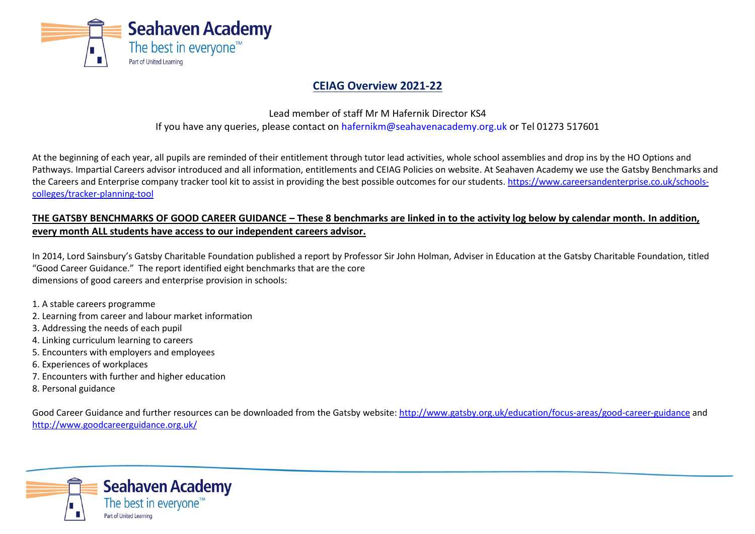

# **CEIAG Overview 2021-22**

Lead member of staff Mr M Hafernik Director KS4 If you have any queries, please contact on [hafernikm@seahavenacademy.org.uk](mailto:hafernikm@seahavenacademy.org.uk) or Tel 01273 517601

At the beginning of each year, all pupils are reminded of their entitlement through tutor lead activities, whole school assemblies and drop ins by the HO Options and Pathways. Impartial Careers advisor introduced and all information, entitlements and CEIAG Policies on website. At Seahaven Academy we use the Gatsby Benchmarks and the Careers and Enterprise company tracker tool kit to assist in providing the best possible outcomes for our students. [https://www.careersandenterprise.co.uk/schools](https://www.careersandenterprise.co.uk/schools-colleges/tracker-planning-tool)[colleges/tracker-planning-tool](https://www.careersandenterprise.co.uk/schools-colleges/tracker-planning-tool)

## **THE GATSBY BENCHMARKS OF GOOD CAREER GUIDANCE – These 8 benchmarks are linked in to the activity log below by calendar month. In addition, every month ALL students have access to our independent careers advisor.**

In 2014, Lord Sainsbury's Gatsby Charitable Foundation published a report by Professor Sir John Holman, Adviser in Education at the Gatsby Charitable Foundation, titled "Good Career Guidance." The report identified eight benchmarks that are the core dimensions of good careers and enterprise provision in schools:

- 1. A stable careers programme
- 2. Learning from career and labour market information
- 3. Addressing the needs of each pupil
- 4. Linking curriculum learning to careers
- 5. Encounters with employers and employees
- 6. Experiences of workplaces
- 7. Encounters with further and higher education
- 8. Personal guidance

Good Career Guidance and further resources can be downloaded from the Gatsby website:<http://www.gatsby.org.uk/education/focus-areas/good-career-guidance> and <http://www.goodcareerguidance.org.uk/>

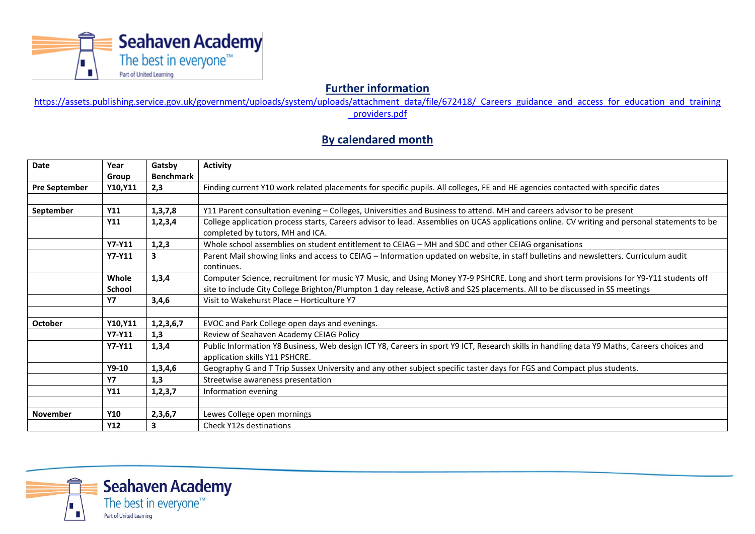

**Further information** 

[https://assets.publishing.service.gov.uk/government/uploads/system/uploads/attachment\\_data/file/672418/\\_Careers\\_guidance\\_and\\_access\\_for\\_education\\_and\\_training](https://assets.publishing.service.gov.uk/government/uploads/system/uploads/attachment_data/file/672418/_Careers_guidance_and_access_for_education_and_training_providers.pdf) [\\_providers.pdf](https://assets.publishing.service.gov.uk/government/uploads/system/uploads/attachment_data/file/672418/_Careers_guidance_and_access_for_education_and_training_providers.pdf)

## **By calendared month**

| Date                 | Year          | Gatsby           | <b>Activity</b>                                                                                                                               |
|----------------------|---------------|------------------|-----------------------------------------------------------------------------------------------------------------------------------------------|
|                      | Group         | <b>Benchmark</b> |                                                                                                                                               |
| <b>Pre September</b> | Y10, Y11      | 2,3              | Finding current Y10 work related placements for specific pupils. All colleges, FE and HE agencies contacted with specific dates               |
|                      |               |                  |                                                                                                                                               |
| September            | <b>Y11</b>    | 1, 3, 7, 8       | Y11 Parent consultation evening - Colleges, Universities and Business to attend. MH and careers advisor to be present                         |
|                      | <b>Y11</b>    | 1, 2, 3, 4       | College application process starts, Careers advisor to lead. Assemblies on UCAS applications online. CV writing and personal statements to be |
|                      |               |                  | completed by tutors, MH and ICA.                                                                                                              |
|                      | Y7-Y11        | 1,2,3            | Whole school assemblies on student entitlement to CEIAG - MH and SDC and other CEIAG organisations                                            |
|                      | Y7-Y11        | 3                | Parent Mail showing links and access to CEIAG - Information updated on website, in staff bulletins and newsletters. Curriculum audit          |
|                      |               |                  | continues.                                                                                                                                    |
|                      | Whole         | 1,3,4            | Computer Science, recruitment for music Y7 Music, and Using Money Y7-9 PSHCRE. Long and short term provisions for Y9-Y11 students off         |
|                      | School        |                  | site to include City College Brighton/Plumpton 1 day release, Activ8 and S2S placements. All to be discussed in SS meetings                   |
|                      | <b>Y7</b>     | 3,4,6            | Visit to Wakehurst Place - Horticulture Y7                                                                                                    |
|                      |               |                  |                                                                                                                                               |
| October              | Y10, Y11      | 1,2,3,6,7        | EVOC and Park College open days and evenings.                                                                                                 |
|                      | <b>Y7-Y11</b> | 1,3              | Review of Seahaven Academy CEIAG Policy                                                                                                       |
|                      | Y7-Y11        | 1,3,4            | Public Information Y8 Business, Web design ICT Y8, Careers in sport Y9 ICT, Research skills in handling data Y9 Maths, Careers choices and    |
|                      |               |                  | application skills Y11 PSHCRE.                                                                                                                |
|                      | $Y9-10$       | 1,3,4,6          | Geography G and T Trip Sussex University and any other subject specific taster days for FGS and Compact plus students.                        |
|                      | <b>Y7</b>     | 1,3              | Streetwise awareness presentation                                                                                                             |
|                      | <b>Y11</b>    | 1, 2, 3, 7       | Information evening                                                                                                                           |
|                      |               |                  |                                                                                                                                               |
| <b>November</b>      | <b>Y10</b>    | 2,3,6,7          | Lewes College open mornings                                                                                                                   |
|                      | <b>Y12</b>    | 3                | Check Y12s destinations                                                                                                                       |

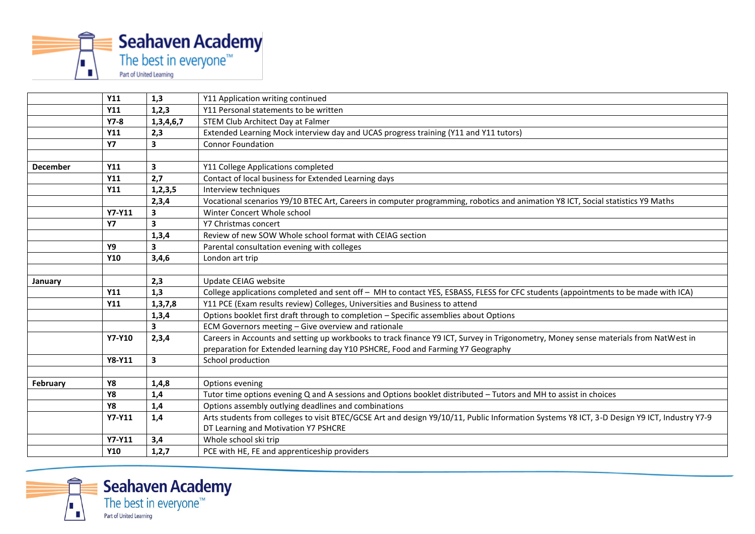

|                 | <b>Y11</b>    | 1,3                     | Y11 Application writing continued                                                                                                           |
|-----------------|---------------|-------------------------|---------------------------------------------------------------------------------------------------------------------------------------------|
|                 | <b>Y11</b>    | 1,2,3                   | Y11 Personal statements to be written                                                                                                       |
|                 | $Y7-8$        | 1,3,4,6,7               | STEM Club Architect Day at Falmer                                                                                                           |
|                 | <b>Y11</b>    | 2,3                     | Extended Learning Mock interview day and UCAS progress training (Y11 and Y11 tutors)                                                        |
|                 | <b>Y7</b>     | $\overline{\mathbf{3}}$ | <b>Connor Foundation</b>                                                                                                                    |
|                 |               |                         |                                                                                                                                             |
| <b>December</b> | <b>Y11</b>    | $\overline{\mathbf{3}}$ | Y11 College Applications completed                                                                                                          |
|                 | Y11           | 2,7                     | Contact of local business for Extended Learning days                                                                                        |
|                 | <b>Y11</b>    | 1, 2, 3, 5              | Interview techniques                                                                                                                        |
|                 |               | 2,3,4                   | Vocational scenarios Y9/10 BTEC Art, Careers in computer programming, robotics and animation Y8 ICT, Social statistics Y9 Maths             |
|                 | Y7-Y11        | 3                       | Winter Concert Whole school                                                                                                                 |
|                 | <b>Y7</b>     | 3                       | Y7 Christmas concert                                                                                                                        |
|                 |               | 1,3,4                   | Review of new SOW Whole school format with CEIAG section                                                                                    |
|                 | Υ9            | $\overline{\mathbf{3}}$ | Parental consultation evening with colleges                                                                                                 |
|                 | <b>Y10</b>    | 3,4,6                   | London art trip                                                                                                                             |
|                 |               |                         |                                                                                                                                             |
| January         |               | 2,3                     | Update CEIAG website                                                                                                                        |
|                 | <b>Y11</b>    | 1,3                     | College applications completed and sent off - MH to contact YES, ESBASS, FLESS for CFC students (appointments to be made with ICA)          |
|                 | <b>Y11</b>    | 1, 3, 7, 8              | Y11 PCE (Exam results review) Colleges, Universities and Business to attend                                                                 |
|                 |               | 1,3,4                   | Options booklet first draft through to completion - Specific assemblies about Options                                                       |
|                 |               | $\overline{\mathbf{3}}$ | ECM Governors meeting - Give overview and rationale                                                                                         |
|                 | <b>Y7-Y10</b> | 2,3,4                   | Careers in Accounts and setting up workbooks to track finance Y9 ICT, Survey in Trigonometry, Money sense materials from NatWest in         |
|                 |               |                         | preparation for Extended learning day Y10 PSHCRE, Food and Farming Y7 Geography                                                             |
|                 | Y8-Y11        | 3                       | School production                                                                                                                           |
|                 |               |                         |                                                                                                                                             |
| <b>February</b> | <b>Y8</b>     | 1,4,8                   | Options evening                                                                                                                             |
|                 | <b>Y8</b>     | 1,4                     | Tutor time options evening Q and A sessions and Options booklet distributed - Tutors and MH to assist in choices                            |
|                 | <b>Y8</b>     | 1,4                     | Options assembly outlying deadlines and combinations                                                                                        |
|                 | Y7-Y11        | 1,4                     | Arts students from colleges to visit BTEC/GCSE Art and design Y9/10/11, Public Information Systems Y8 ICT, 3-D Design Y9 ICT, Industry Y7-9 |
|                 |               |                         | DT Learning and Motivation Y7 PSHCRE                                                                                                        |
|                 | Y7-Y11        | 3,4                     | Whole school ski trip                                                                                                                       |
|                 | <b>Y10</b>    | 1,2,7                   | PCE with HE, FE and apprenticeship providers                                                                                                |



**Seahaven Academy**<br>The best in everyone<sup>™</sup> Part of United Learning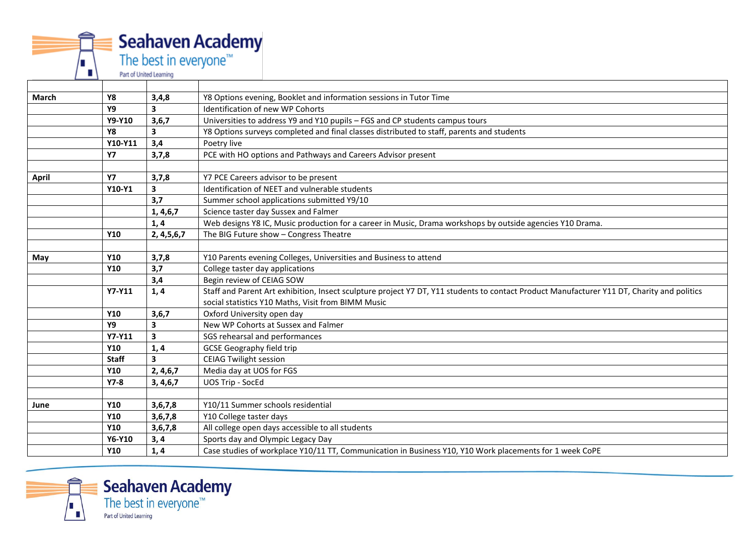

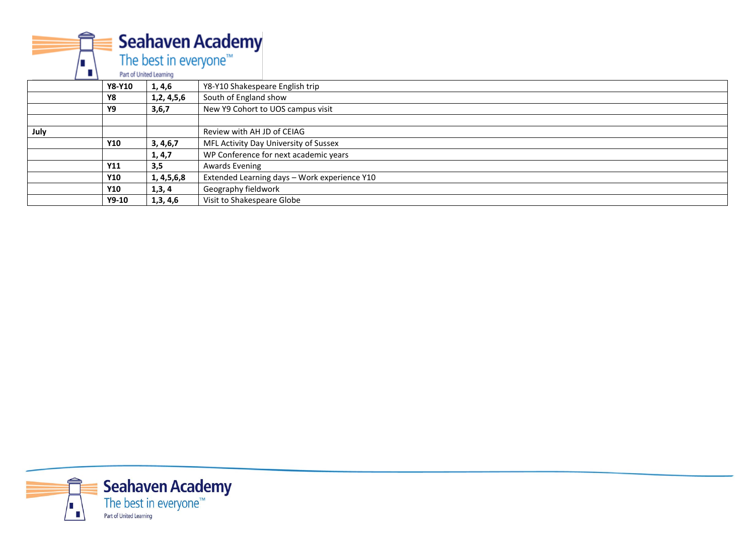**Seahaven Academy** The best in everyone<sup>™</sup> Part of United Learning **Y8-Y10 1, 4,6** Y8-Y10 Shakespeare English trip **Y8 1,2, 4,5,6** South of England show **Y9 3,6,7** New Y9 Cohort to UOS campus visit **July CEIAG Y10 3, 4,6,7** MFL Activity Day University of Sussex<br> **1, 4,7** WP Conference for next academic yea **1, 4,7** WP Conference for next academic years<br> **3.5** Awards Evening **Y11 3,5** Awards Evening **Y10 1, 4,5,6,8** Extended Learning days – Work experience Y10 **Geography fieldwork Y9-10 1,3, 4,6** Visit to Shakespeare Globe

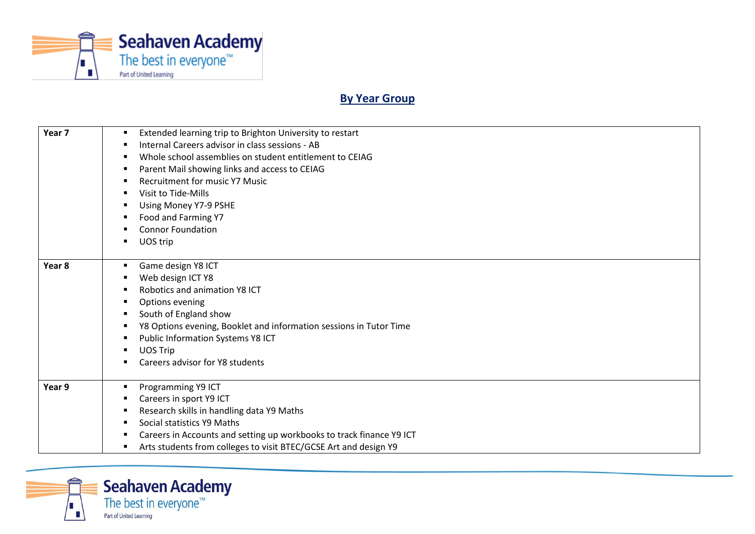

# **By Year Group**

| Year <sub>7</sub> | Extended learning trip to Brighton University to restart<br>Internal Careers advisor in class sessions - AB<br>Whole school assemblies on student entitlement to CEIAG<br>Parent Mail showing links and access to CEIAG<br><b>Recruitment for music Y7 Music</b><br>Visit to Tide-Mills |
|-------------------|-----------------------------------------------------------------------------------------------------------------------------------------------------------------------------------------------------------------------------------------------------------------------------------------|
|                   | Using Money Y7-9 PSHE<br>Food and Farming Y7<br><b>Connor Foundation</b><br>UOS trip                                                                                                                                                                                                    |
| Year 8            | Game design Y8 ICT<br>٠<br>Web design ICT Y8<br>Robotics and animation Y8 ICT<br>Options evening<br>South of England show<br>Y8 Options evening, Booklet and information sessions in Tutor Time<br>Public Information Systems Y8 ICT<br>UOS Trip<br>Careers advisor for Y8 students     |
| Year 9            | Programming Y9 ICT<br>٠<br>Careers in sport Y9 ICT<br>Research skills in handling data Y9 Maths<br>Social statistics Y9 Maths<br>Careers in Accounts and setting up workbooks to track finance Y9 ICT<br>Arts students from colleges to visit BTEC/GCSE Art and design Y9               |

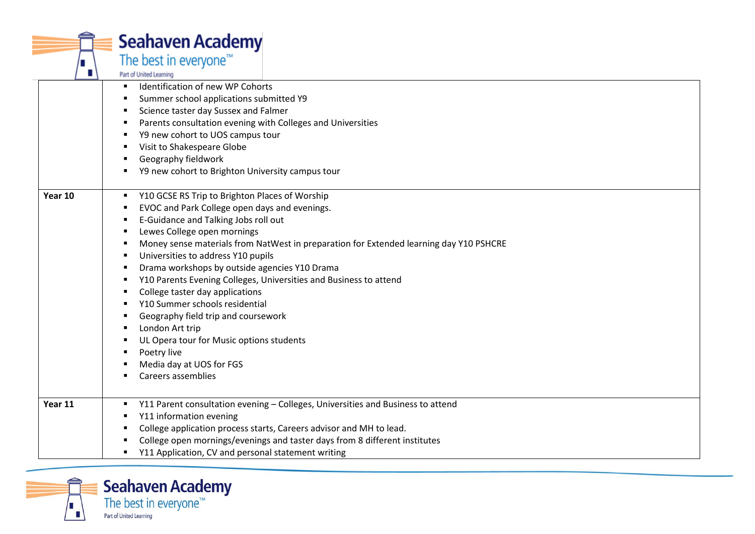|         | <b>Seahaven Academy</b>                                                                |
|---------|----------------------------------------------------------------------------------------|
|         | The best in everyone <sup>™</sup>                                                      |
|         | Part of United Learning                                                                |
|         | Identification of new WP Cohorts                                                       |
|         | Summer school applications submitted Y9                                                |
|         | Science taster day Sussex and Falmer                                                   |
|         | Parents consultation evening with Colleges and Universities                            |
|         | Y9 new cohort to UOS campus tour                                                       |
|         | Visit to Shakespeare Globe<br>п                                                        |
|         | Geography fieldwork                                                                    |
|         | Y9 new cohort to Brighton University campus tour                                       |
| Year 10 | Y10 GCSE RS Trip to Brighton Places of Worship<br>٠                                    |
|         | EVOC and Park College open days and evenings.<br>п                                     |
|         | E-Guidance and Talking Jobs roll out                                                   |
|         | Lewes College open mornings                                                            |
|         | Money sense materials from NatWest in preparation for Extended learning day Y10 PSHCRE |
|         | Universities to address Y10 pupils                                                     |
|         | Drama workshops by outside agencies Y10 Drama                                          |
|         | Y10 Parents Evening Colleges, Universities and Business to attend                      |
|         | College taster day applications<br>п                                                   |
|         | Y10 Summer schools residential                                                         |
|         | Geography field trip and coursework                                                    |
|         | London Art trip                                                                        |
|         | UL Opera tour for Music options students                                               |
|         | Poetry live                                                                            |
|         | Media day at UOS for FGS                                                               |
|         | Careers assemblies                                                                     |
| Year 11 | Y11 Parent consultation evening - Colleges, Universities and Business to attend        |
|         | Y11 information evening                                                                |
|         | College application process starts, Careers advisor and MH to lead.                    |
|         | College open mornings/evenings and taster days from 8 different institutes             |
|         | Y11 Application, CV and personal statement writing                                     |
|         |                                                                                        |

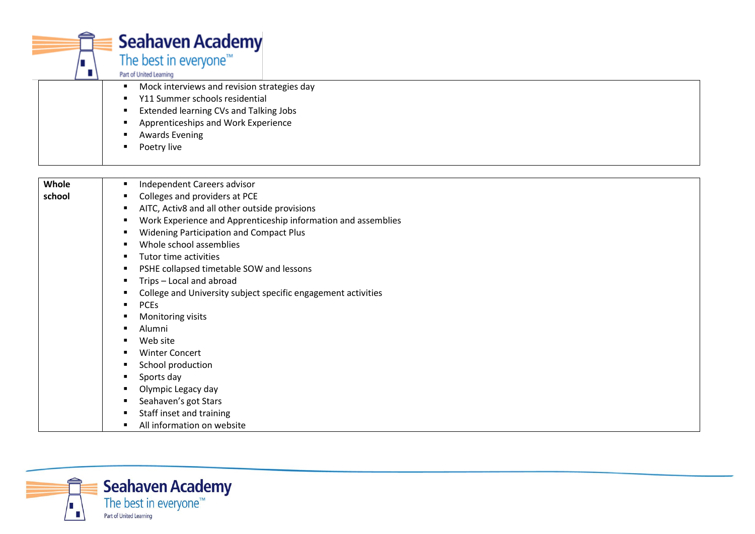| п      | <b>Seahaven Academy</b><br>The best in everyone <sup>™</sup><br>Part of United Learning<br>Mock interviews and revision strategies day<br>٠<br>Y11 Summer schools residential<br>п<br>Extended learning CVs and Talking Jobs<br>Apprenticeships and Work Experience |
|--------|---------------------------------------------------------------------------------------------------------------------------------------------------------------------------------------------------------------------------------------------------------------------|
|        | <b>Awards Evening</b><br>Poetry live                                                                                                                                                                                                                                |
|        |                                                                                                                                                                                                                                                                     |
| Whole  | Independent Careers advisor<br>$\blacksquare$                                                                                                                                                                                                                       |
| school | Colleges and providers at PCE<br>п                                                                                                                                                                                                                                  |
|        | AITC, Activ8 and all other outside provisions<br>$\blacksquare$                                                                                                                                                                                                     |
|        | Work Experience and Apprenticeship information and assemblies<br>п<br><b>Widening Participation and Compact Plus</b>                                                                                                                                                |
|        | Whole school assemblies                                                                                                                                                                                                                                             |
|        | Tutor time activities                                                                                                                                                                                                                                               |
|        | PSHE collapsed timetable SOW and lessons<br>$\blacksquare$                                                                                                                                                                                                          |
|        | Trips - Local and abroad                                                                                                                                                                                                                                            |
|        | College and University subject specific engagement activities                                                                                                                                                                                                       |
|        | <b>PCEs</b><br>$\blacksquare$                                                                                                                                                                                                                                       |
|        | Monitoring visits                                                                                                                                                                                                                                                   |
|        | Alumni                                                                                                                                                                                                                                                              |
|        | Web site                                                                                                                                                                                                                                                            |
|        | <b>Winter Concert</b>                                                                                                                                                                                                                                               |
|        | School production                                                                                                                                                                                                                                                   |
|        | Sports day                                                                                                                                                                                                                                                          |
|        | Olympic Legacy day                                                                                                                                                                                                                                                  |
|        | Seahaven's got Stars                                                                                                                                                                                                                                                |
|        | Staff inset and training<br>п                                                                                                                                                                                                                                       |
|        | All information on website<br>$\blacksquare$                                                                                                                                                                                                                        |

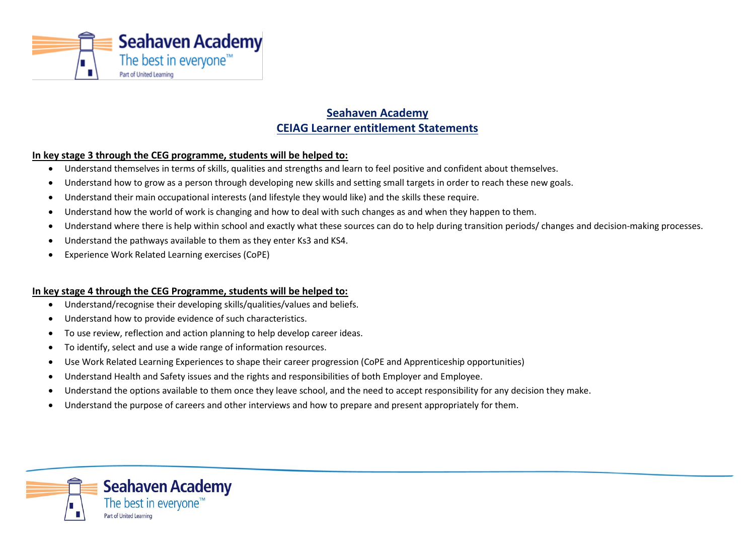

# **Seahaven Academy CEIAG Learner entitlement Statements**

## **In key stage 3 through the CEG programme, students will be helped to:**

- Understand themselves in terms of skills, qualities and strengths and learn to feel positive and confident about themselves.
- Understand how to grow as a person through developing new skills and setting small targets in order to reach these new goals.
- Understand their main occupational interests (and lifestyle they would like) and the skills these require.
- Understand how the world of work is changing and how to deal with such changes as and when they happen to them.
- Understand where there is help within school and exactly what these sources can do to help during transition periods/ changes and decision-making processes.
- Understand the pathways available to them as they enter Ks3 and KS4.
- Experience Work Related Learning exercises (CoPE)

#### **In key stage 4 through the CEG Programme, students will be helped to:**

- Understand/recognise their developing skills/qualities/values and beliefs.
- Understand how to provide evidence of such characteristics.
- To use review, reflection and action planning to help develop career ideas.
- To identify, select and use a wide range of information resources.
- Use Work Related Learning Experiences to shape their career progression (CoPE and Apprenticeship opportunities)
- Understand Health and Safety issues and the rights and responsibilities of both Employer and Employee.
- Understand the options available to them once they leave school, and the need to accept responsibility for any decision they make.
- Understand the purpose of careers and other interviews and how to prepare and present appropriately for them.

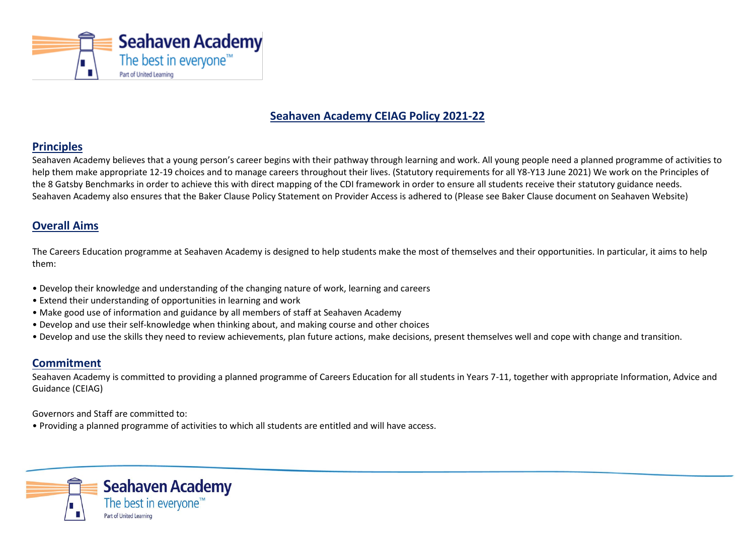

# **Seahaven Academy CEIAG Policy 2021-22**

# **Principles**

Seahaven Academy believes that a young person's career begins with their pathway through learning and work. All young people need a planned programme of activities to help them make appropriate 12-19 choices and to manage careers throughout their lives. (Statutory requirements for all Y8-Y13 June 2021) We work on the Principles of the 8 Gatsby Benchmarks in order to achieve this with direct mapping of the CDI framework in order to ensure all students receive their statutory guidance needs. Seahaven Academy also ensures that the Baker Clause Policy Statement on Provider Access is adhered to (Please see Baker Clause document on Seahaven Website)

# **Overall Aims**

The Careers Education programme at Seahaven Academy is designed to help students make the most of themselves and their opportunities. In particular, it aims to help them:

- Develop their knowledge and understanding of the changing nature of work, learning and careers
- Extend their understanding of opportunities in learning and work
- Make good use of information and guidance by all members of staff at Seahaven Academy
- Develop and use their self-knowledge when thinking about, and making course and other choices
- Develop and use the skills they need to review achievements, plan future actions, make decisions, present themselves well and cope with change and transition.

# **Commitment**

Seahaven Academy is committed to providing a planned programme of Careers Education for all students in Years 7-11, together with appropriate Information, Advice and Guidance (CEIAG)

Governors and Staff are committed to:

• Providing a planned programme of activities to which all students are entitled and will have access.

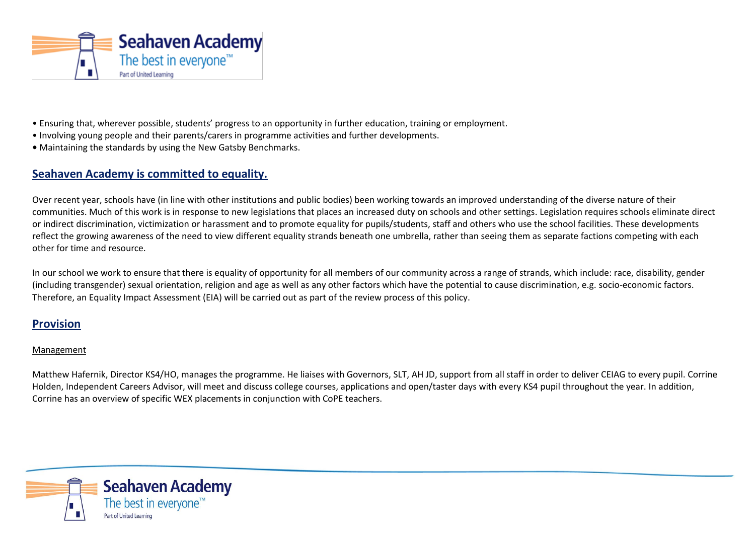

- Ensuring that, wherever possible, students' progress to an opportunity in further education, training or employment.
- Involving young people and their parents/carers in programme activities and further developments.
- **•** Maintaining the standards by using the New Gatsby Benchmarks.

# **Seahaven Academy is committed to equality.**

Over recent year, schools have (in line with other institutions and public bodies) been working towards an improved understanding of the diverse nature of their communities. Much of this work is in response to new legislations that places an increased duty on schools and other settings. Legislation requires schools eliminate direct or indirect discrimination, victimization or harassment and to promote equality for pupils/students, staff and others who use the school facilities. These developments reflect the growing awareness of the need to view different equality strands beneath one umbrella, rather than seeing them as separate factions competing with each other for time and resource.

In our school we work to ensure that there is equality of opportunity for all members of our community across a range of strands, which include: race, disability, gender (including transgender) sexual orientation, religion and age as well as any other factors which have the potential to cause discrimination, e.g. socio-economic factors. Therefore, an Equality Impact Assessment (EIA) will be carried out as part of the review process of this policy.

# **Provision**

## Management

Matthew Hafernik, Director KS4/HO, manages the programme. He liaises with Governors, SLT, AH JD, support from all staff in order to deliver CEIAG to every pupil. Corrine Holden, Independent Careers Advisor, will meet and discuss college courses, applications and open/taster days with every KS4 pupil throughout the year. In addition, Corrine has an overview of specific WEX placements in conjunction with CoPE teachers.

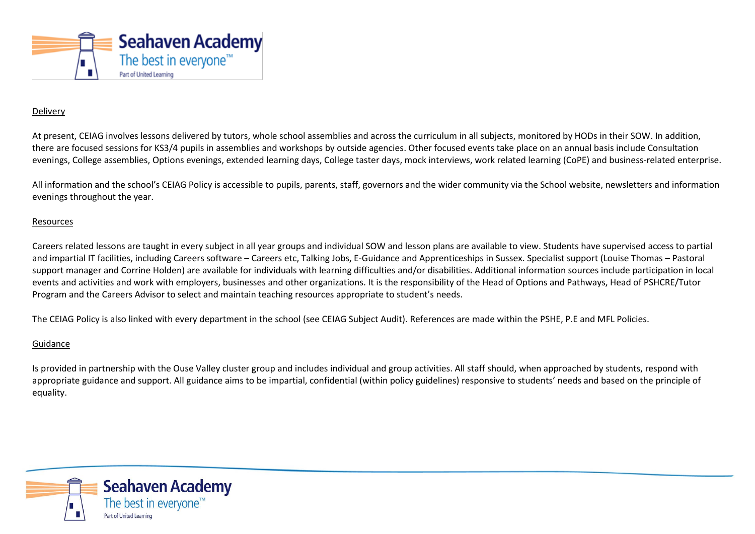

### Delivery

At present, CEIAG involves lessons delivered by tutors, whole school assemblies and across the curriculum in all subjects, monitored by HODs in their SOW. In addition, there are focused sessions for KS3/4 pupils in assemblies and workshops by outside agencies. Other focused events take place on an annual basis include Consultation evenings, College assemblies, Options evenings, extended learning days, College taster days, mock interviews, work related learning (CoPE) and business-related enterprise.

All information and the school's CEIAG Policy is accessible to pupils, parents, staff, governors and the wider community via the School website, newsletters and information evenings throughout the year.

#### Resources

Careers related lessons are taught in every subject in all year groups and individual SOW and lesson plans are available to view. Students have supervised access to partial and impartial IT facilities, including Careers software – Careers etc, Talking Jobs, E-Guidance and Apprenticeships in Sussex. Specialist support (Louise Thomas – Pastoral support manager and Corrine Holden) are available for individuals with learning difficulties and/or disabilities. Additional information sources include participation in local events and activities and work with employers, businesses and other organizations. It is the responsibility of the Head of Options and Pathways, Head of PSHCRE/Tutor Program and the Careers Advisor to select and maintain teaching resources appropriate to student's needs.

The CEIAG Policy is also linked with every department in the school (see CEIAG Subject Audit). References are made within the PSHE, P.E and MFL Policies.

#### Guidance

Is provided in partnership with the Ouse Valley cluster group and includes individual and group activities. All staff should, when approached by students, respond with appropriate guidance and support. All guidance aims to be impartial, confidential (within policy guidelines) responsive to students' needs and based on the principle of equality.